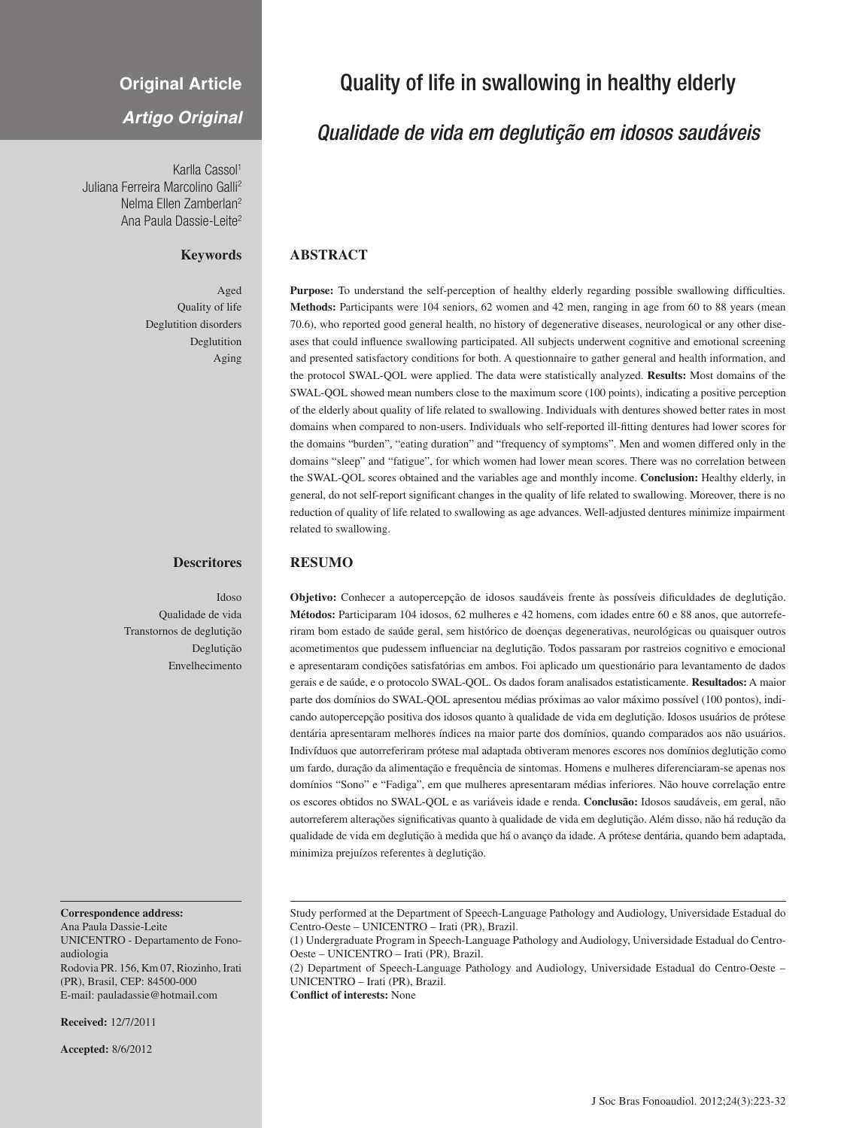# **Original Article**

*Artigo Original*

Karlla Cassol<sup>1</sup> Juliana Ferreira Marcolino Galli2 Nelma Ellen Zamberlan2 Ana Paula Dassie-Leite2

#### **Keywords**

Aged Quality of life Deglutition disorders Deglutition Aging

#### **Descritores**

Idoso Qualidade de vida Transtornos de deglutição Deglutição Envelhecimento

#### **Correspondence address:**

Ana Paula Dassie-Leite UNICENTRO - Departamento de Fonoaudiologia Rodovia PR. 156, Km 07, Riozinho, Irati (PR), Brasil, CEP: 84500-000 E-mail: pauladassie@hotmail.com

**Received:** 12/7/2011

**Accepted:** 8/6/2012

# Quality of life in swallowing in healthy elderly

# *Qualidade de vida em deglutição em idosos saudáveis*

#### **ABSTRACT**

**Purpose:** To understand the self-perception of healthy elderly regarding possible swallowing difficulties. **Methods:** Participants were 104 seniors, 62 women and 42 men, ranging in age from 60 to 88 years (mean 70.6), who reported good general health, no history of degenerative diseases, neurological or any other diseases that could influence swallowing participated. All subjects underwent cognitive and emotional screening and presented satisfactory conditions for both. A questionnaire to gather general and health information, and the protocol SWAL-QOL were applied. The data were statistically analyzed. **Results:** Most domains of the SWAL-QOL showed mean numbers close to the maximum score (100 points), indicating a positive perception of the elderly about quality of life related to swallowing. Individuals with dentures showed better rates in most domains when compared to non-users. Individuals who self-reported ill-fitting dentures had lower scores for the domains "burden", "eating duration" and "frequency of symptoms". Men and women differed only in the domains "sleep" and "fatigue", for which women had lower mean scores. There was no correlation between the SWAL-QOL scores obtained and the variables age and monthly income. **Conclusion:** Healthy elderly, in general, do not self-report significant changes in the quality of life related to swallowing. Moreover, there is no reduction of quality of life related to swallowing as age advances. Well-adjusted dentures minimize impairment related to swallowing.

#### **RESUMO**

**Objetivo:** Conhecer a autopercepção de idosos saudáveis frente às possíveis dificuldades de deglutição. **Métodos:** Participaram 104 idosos, 62 mulheres e 42 homens, com idades entre 60 e 88 anos, que autorreferiram bom estado de saúde geral, sem histórico de doenças degenerativas, neurológicas ou quaisquer outros acometimentos que pudessem influenciar na deglutição. Todos passaram por rastreios cognitivo e emocional e apresentaram condições satisfatórias em ambos. Foi aplicado um questionário para levantamento de dados gerais e de saúde, e o protocolo SWAL-QOL. Os dados foram analisados estatisticamente. **Resultados:** A maior parte dos domínios do SWAL-QOL apresentou médias próximas ao valor máximo possível (100 pontos), indicando autopercepção positiva dos idosos quanto à qualidade de vida em deglutição. Idosos usuários de prótese dentária apresentaram melhores índices na maior parte dos domínios, quando comparados aos não usuários. Indivíduos que autorreferiram prótese mal adaptada obtiveram menores escores nos domínios deglutição como um fardo, duração da alimentação e frequência de sintomas. Homens e mulheres diferenciaram-se apenas nos domínios "Sono" e "Fadiga", em que mulheres apresentaram médias inferiores. Não houve correlação entre os escores obtidos no SWAL-QOL e as variáveis idade e renda. **Conclusão:** Idosos saudáveis, em geral, não autorreferem alterações significativas quanto à qualidade de vida em deglutição. Além disso, não há redução da qualidade de vida em deglutição à medida que há o avanço da idade. A prótese dentária, quando bem adaptada, minimiza prejuízos referentes à deglutição.

Study performed at the Department of Speech-Language Pathology and Audiology, Universidade Estadual do Centro-Oeste – UNICENTRO – Irati (PR), Brazil.

(1) Undergraduate Program in Speech-Language Pathology and Audiology, Universidade Estadual do Centro-Oeste – UNICENTRO – Irati (PR), Brazil.

(2) Department of Speech-Language Pathology and Audiology, Universidade Estadual do Centro-Oeste – UNICENTRO – Irati (PR), Brazil.

**Conflict of interests:** None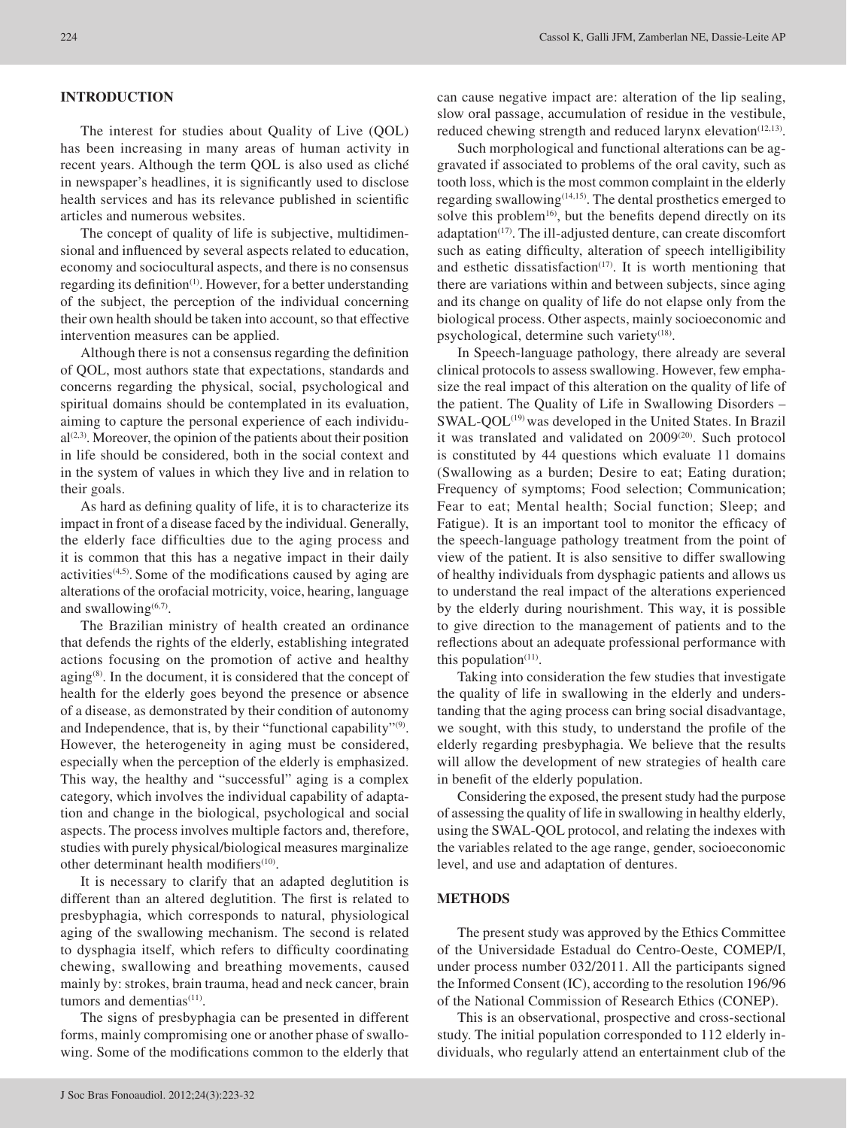## **INTRODUCTION**

The interest for studies about Quality of Live (QOL) has been increasing in many areas of human activity in recent years. Although the term QOL is also used as cliché in newspaper's headlines, it is significantly used to disclose health services and has its relevance published in scientific articles and numerous websites.

The concept of quality of life is subjective, multidimensional and influenced by several aspects related to education, economy and sociocultural aspects, and there is no consensus regarding its definition<sup>(1)</sup>. However, for a better understanding of the subject, the perception of the individual concerning their own health should be taken into account, so that effective intervention measures can be applied.

Although there is not a consensus regarding the definition of QOL, most authors state that expectations, standards and concerns regarding the physical, social, psychological and spiritual domains should be contemplated in its evaluation, aiming to capture the personal experience of each individu $al^{(2,3)}$ . Moreover, the opinion of the patients about their position in life should be considered, both in the social context and in the system of values in which they live and in relation to their goals.

As hard as defining quality of life, it is to characterize its impact in front of a disease faced by the individual. Generally, the elderly face difficulties due to the aging process and it is common that this has a negative impact in their daily activities(4,5). Some of the modifications caused by aging are alterations of the orofacial motricity, voice, hearing, language and swallowing $(6,7)$ .

The Brazilian ministry of health created an ordinance that defends the rights of the elderly, establishing integrated actions focusing on the promotion of active and healthy aging(8). In the document, it is considered that the concept of health for the elderly goes beyond the presence or absence of a disease, as demonstrated by their condition of autonomy and Independence, that is, by their "functional capability"<sup>(9)</sup>. However, the heterogeneity in aging must be considered, especially when the perception of the elderly is emphasized. This way, the healthy and "successful" aging is a complex category, which involves the individual capability of adaptation and change in the biological, psychological and social aspects. The process involves multiple factors and, therefore, studies with purely physical/biological measures marginalize other determinant health modifiers<sup>(10)</sup>.

It is necessary to clarify that an adapted deglutition is different than an altered deglutition. The first is related to presbyphagia, which corresponds to natural, physiological aging of the swallowing mechanism. The second is related to dysphagia itself, which refers to difficulty coordinating chewing, swallowing and breathing movements, caused mainly by: strokes, brain trauma, head and neck cancer, brain tumors and dementias $(11)$ .

The signs of presbyphagia can be presented in different forms, mainly compromising one or another phase of swallowing. Some of the modifications common to the elderly that can cause negative impact are: alteration of the lip sealing, slow oral passage, accumulation of residue in the vestibule, reduced chewing strength and reduced larynx elevation $(12,13)$ .

Such morphological and functional alterations can be aggravated if associated to problems of the oral cavity, such as tooth loss, which is the most common complaint in the elderly regarding swallowing<sup>(14,15)</sup>. The dental prosthetics emerged to solve this problem<sup>16</sup>, but the benefits depend directly on its adaptation<sup>(17)</sup>. The ill-adjusted denture, can create discomfort such as eating difficulty, alteration of speech intelligibility and esthetic dissatisfaction $(17)$ . It is worth mentioning that there are variations within and between subjects, since aging and its change on quality of life do not elapse only from the biological process. Other aspects, mainly socioeconomic and psychological, determine such variety<sup>(18)</sup>.

In Speech-language pathology, there already are several clinical protocols to assess swallowing. However, few emphasize the real impact of this alteration on the quality of life of the patient. The Quality of Life in Swallowing Disorders – SWAL-QOL<sup>(19)</sup> was developed in the United States. In Brazil it was translated and validated on 2009<sup>(20)</sup>. Such protocol is constituted by 44 questions which evaluate 11 domains (Swallowing as a burden; Desire to eat; Eating duration; Frequency of symptoms; Food selection; Communication; Fear to eat; Mental health; Social function; Sleep; and Fatigue). It is an important tool to monitor the efficacy of the speech-language pathology treatment from the point of view of the patient. It is also sensitive to differ swallowing of healthy individuals from dysphagic patients and allows us to understand the real impact of the alterations experienced by the elderly during nourishment. This way, it is possible to give direction to the management of patients and to the reflections about an adequate professional performance with this population $(11)$ .

Taking into consideration the few studies that investigate the quality of life in swallowing in the elderly and understanding that the aging process can bring social disadvantage, we sought, with this study, to understand the profile of the elderly regarding presbyphagia. We believe that the results will allow the development of new strategies of health care in benefit of the elderly population.

Considering the exposed, the present study had the purpose of assessing the quality of life in swallowing in healthy elderly, using the SWAL-QOL protocol, and relating the indexes with the variables related to the age range, gender, socioeconomic level, and use and adaptation of dentures.

## **METHODS**

The present study was approved by the Ethics Committee of the Universidade Estadual do Centro-Oeste, COMEP/I, under process number 032/2011. All the participants signed the Informed Consent (IC), according to the resolution 196/96 of the National Commission of Research Ethics (CONEP).

This is an observational, prospective and cross-sectional study. The initial population corresponded to 112 elderly individuals, who regularly attend an entertainment club of the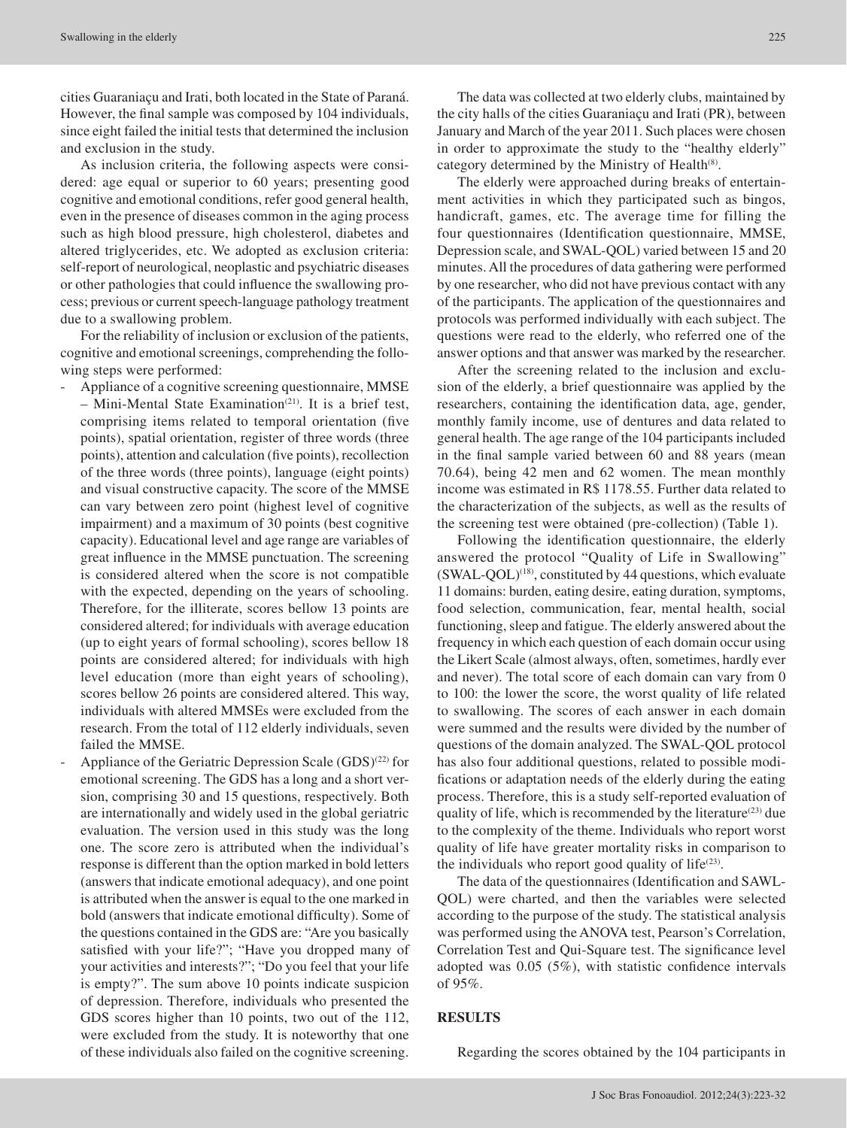cities Guaraniaçu and Irati, both located in the State of Paraná. However, the final sample was composed by 104 individuals, since eight failed the initial tests that determined the inclusion and exclusion in the study.

As inclusion criteria, the following aspects were considered: age equal or superior to 60 years; presenting good cognitive and emotional conditions, refer good general health, even in the presence of diseases common in the aging process such as high blood pressure, high cholesterol, diabetes and altered triglycerides, etc. We adopted as exclusion criteria: self-report of neurological, neoplastic and psychiatric diseases or other pathologies that could influence the swallowing process; previous or current speech-language pathology treatment due to a swallowing problem.

For the reliability of inclusion or exclusion of the patients, cognitive and emotional screenings, comprehending the following steps were performed:

- Appliance of a cognitive screening questionnaire, MMSE  $-$  Mini-Mental State Examination<sup>(21)</sup>. It is a brief test, comprising items related to temporal orientation (five points), spatial orientation, register of three words (three points), attention and calculation (five points), recollection of the three words (three points), language (eight points) and visual constructive capacity. The score of the MMSE can vary between zero point (highest level of cognitive impairment) and a maximum of 30 points (best cognitive capacity). Educational level and age range are variables of great influence in the MMSE punctuation. The screening is considered altered when the score is not compatible with the expected, depending on the years of schooling. Therefore, for the illiterate, scores bellow 13 points are considered altered; for individuals with average education (up to eight years of formal schooling), scores bellow 18 points are considered altered; for individuals with high level education (more than eight years of schooling), scores bellow 26 points are considered altered. This way, individuals with altered MMSEs were excluded from the research. From the total of 112 elderly individuals, seven failed the MMSE.
- Appliance of the Geriatric Depression Scale  $(GDS)^{(22)}$  for emotional screening. The GDS has a long and a short version, comprising 30 and 15 questions, respectively. Both are internationally and widely used in the global geriatric evaluation. The version used in this study was the long one. The score zero is attributed when the individual's response is different than the option marked in bold letters (answers that indicate emotional adequacy), and one point is attributed when the answer is equal to the one marked in bold (answers that indicate emotional difficulty). Some of the questions contained in the GDS are: "Are you basically satisfied with your life?"; "Have you dropped many of your activities and interests?"; "Do you feel that your life is empty?". The sum above 10 points indicate suspicion of depression. Therefore, individuals who presented the GDS scores higher than 10 points, two out of the 112, were excluded from the study. It is noteworthy that one of these individuals also failed on the cognitive screening.

The data was collected at two elderly clubs, maintained by the city halls of the cities Guaraniaçu and Irati (PR), between January and March of the year 2011. Such places were chosen in order to approximate the study to the "healthy elderly" category determined by the Ministry of Health $(8)$ .

The elderly were approached during breaks of entertainment activities in which they participated such as bingos, handicraft, games, etc. The average time for filling the four questionnaires (Identification questionnaire, MMSE, Depression scale, and SWAL-QOL) varied between 15 and 20 minutes. All the procedures of data gathering were performed by one researcher, who did not have previous contact with any of the participants. The application of the questionnaires and protocols was performed individually with each subject. The questions were read to the elderly, who referred one of the answer options and that answer was marked by the researcher.

After the screening related to the inclusion and exclusion of the elderly, a brief questionnaire was applied by the researchers, containing the identification data, age, gender, monthly family income, use of dentures and data related to general health. The age range of the 104 participants included in the final sample varied between 60 and 88 years (mean 70.64), being 42 men and 62 women. The mean monthly income was estimated in R\$ 1178.55. Further data related to the characterization of the subjects, as well as the results of the screening test were obtained (pre-collection) (Table 1).

Following the identification questionnaire, the elderly answered the protocol "Quality of Life in Swallowing"  $(SWAL-QOL)^{(18)}$ , constituted by 44 questions, which evaluate 11 domains: burden, eating desire, eating duration, symptoms, food selection, communication, fear, mental health, social functioning, sleep and fatigue. The elderly answered about the frequency in which each question of each domain occur using the Likert Scale (almost always, often, sometimes, hardly ever and never). The total score of each domain can vary from 0 to 100: the lower the score, the worst quality of life related to swallowing. The scores of each answer in each domain were summed and the results were divided by the number of questions of the domain analyzed. The SWAL-QOL protocol has also four additional questions, related to possible modifications or adaptation needs of the elderly during the eating process. Therefore, this is a study self-reported evaluation of quality of life, which is recommended by the literature $(23)$  due to the complexity of the theme. Individuals who report worst quality of life have greater mortality risks in comparison to the individuals who report good quality of life $(23)$ .

The data of the questionnaires (Identification and SAWL-QOL) were charted, and then the variables were selected according to the purpose of the study. The statistical analysis was performed using the ANOVA test, Pearson's Correlation, Correlation Test and Qui-Square test. The significance level adopted was 0.05 (5%), with statistic confidence intervals of 95%.

#### **RESULTS**

Regarding the scores obtained by the 104 participants in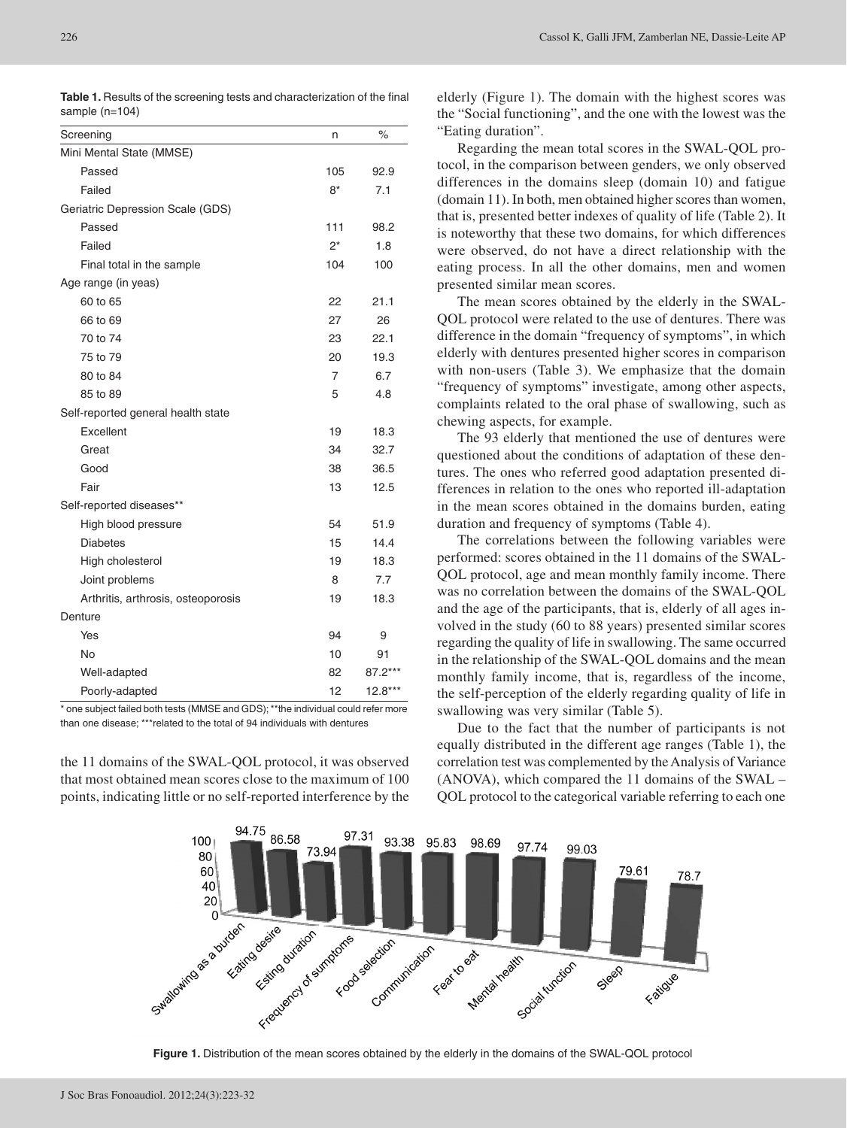| <b>Table 1.</b> Results of the screening tests and characterization of the final |
|----------------------------------------------------------------------------------|
| sample $(n=104)$                                                                 |

| Screening                          | n              | $\%$      |
|------------------------------------|----------------|-----------|
| Mini Mental State (MMSE)           |                |           |
| Passed                             | 105            | 92.9      |
| Failed                             | $8*$           | 7.1       |
| Geriatric Depression Scale (GDS)   |                |           |
| Passed                             | 111            | 98.2      |
| Failed                             | $2^*$          | 1.8       |
| Final total in the sample          | 104            | 100       |
| Age range (in yeas)                |                |           |
| 60 to 65                           | 22             | 21.1      |
| 66 to 69                           | 27             | 26        |
| 70 to 74                           | 23             | 22.1      |
| 75 to 79                           | 20             | 19.3      |
| 80 to 84                           | $\overline{7}$ | 6.7       |
| 85 to 89                           | 5              | 4.8       |
| Self-reported general health state |                |           |
| Excellent                          | 19             | 18.3      |
| Great                              | 34             | 32.7      |
| Good                               | 38             | 36.5      |
| Fair                               | 13             | 12.5      |
| Self-reported diseases**           |                |           |
| High blood pressure                | 54             | 51.9      |
| <b>Diabetes</b>                    | 15             | 14.4      |
| High cholesterol                   | 19             | 18.3      |
| Joint problems                     | 8              | 7.7       |
| Arthritis, arthrosis, osteoporosis | 19             | 18.3      |
| Denture                            |                |           |
| Yes                                | 94             | 9         |
| No                                 | 10             | 91        |
| Well-adapted                       | 82             | 87.2***   |
| Poorly-adapted                     | 12             | $12.8***$ |

\* one subject failed both tests (MMSE and GDS); \*\*the individual could refer more than one disease; \*\*\*related to the total of 94 individuals with dentures

the 11 domains of the SWAL-QOL protocol, it was observed that most obtained mean scores close to the maximum of 100 points, indicating little or no self-reported interference by the elderly (Figure 1). The domain with the highest scores was the "Social functioning", and the one with the lowest was the "Eating duration".

Regarding the mean total scores in the SWAL-QOL protocol, in the comparison between genders, we only observed differences in the domains sleep (domain 10) and fatigue (domain 11). In both, men obtained higher scores than women, that is, presented better indexes of quality of life (Table 2). It is noteworthy that these two domains, for which differences were observed, do not have a direct relationship with the eating process. In all the other domains, men and women presented similar mean scores.

The mean scores obtained by the elderly in the SWAL-QOL protocol were related to the use of dentures. There was difference in the domain "frequency of symptoms", in which elderly with dentures presented higher scores in comparison with non-users (Table 3). We emphasize that the domain "frequency of symptoms" investigate, among other aspects, complaints related to the oral phase of swallowing, such as chewing aspects, for example.

The 93 elderly that mentioned the use of dentures were questioned about the conditions of adaptation of these dentures. The ones who referred good adaptation presented differences in relation to the ones who reported ill-adaptation in the mean scores obtained in the domains burden, eating duration and frequency of symptoms (Table 4).

The correlations between the following variables were performed: scores obtained in the 11 domains of the SWAL-QOL protocol, age and mean monthly family income. There was no correlation between the domains of the SWAL-QOL and the age of the participants, that is, elderly of all ages involved in the study (60 to 88 years) presented similar scores regarding the quality of life in swallowing. The same occurred in the relationship of the SWAL-QOL domains and the mean monthly family income, that is, regardless of the income, the self-perception of the elderly regarding quality of life in swallowing was very similar (Table 5).

Due to the fact that the number of participants is not equally distributed in the different age ranges (Table 1), the correlation test was complemented by the Analysis of Variance (ANOVA), which compared the 11 domains of the SWAL – QOL protocol to the categorical variable referring to each one



**Figure 1.** Distribution of the mean scores obtained by the elderly in the domains of the SWAL-QOL protocol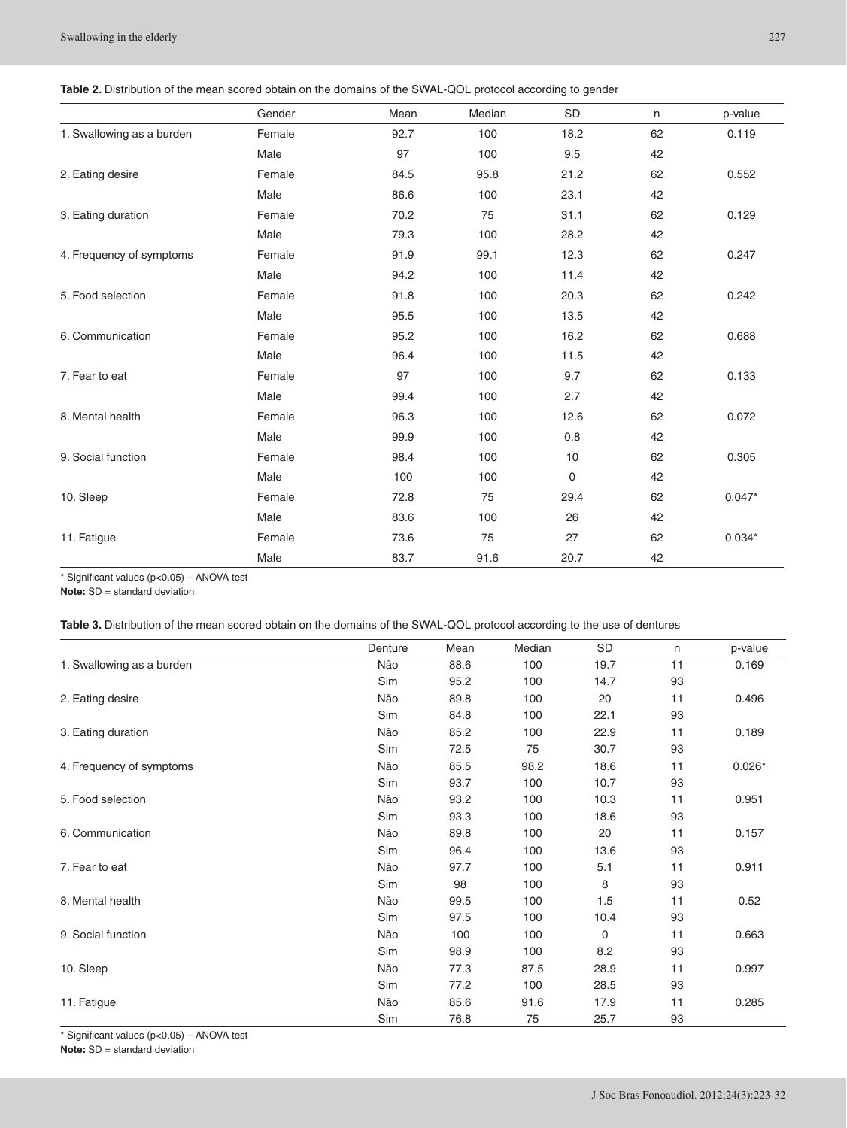|  |  | Table 2. Distribution of the mean scored obtain on the domains of the SWAL-QOL protocol according to gender |
|--|--|-------------------------------------------------------------------------------------------------------------|
|--|--|-------------------------------------------------------------------------------------------------------------|

|                           | Gender | Mean | Median | <b>SD</b> | n  | p-value  |
|---------------------------|--------|------|--------|-----------|----|----------|
| 1. Swallowing as a burden | Female | 92.7 | 100    | 18.2      | 62 | 0.119    |
|                           | Male   | 97   | 100    | 9.5       | 42 |          |
| 2. Eating desire          | Female | 84.5 | 95.8   | 21.2      | 62 | 0.552    |
|                           | Male   | 86.6 | 100    | 23.1      | 42 |          |
| 3. Eating duration        | Female | 70.2 | 75     | 31.1      | 62 | 0.129    |
|                           | Male   | 79.3 | 100    | 28.2      | 42 |          |
| 4. Frequency of symptoms  | Female | 91.9 | 99.1   | 12.3      | 62 | 0.247    |
|                           | Male   | 94.2 | 100    | 11.4      | 42 |          |
| 5. Food selection         | Female | 91.8 | 100    | 20.3      | 62 | 0.242    |
|                           | Male   | 95.5 | 100    | 13.5      | 42 |          |
| 6. Communication          | Female | 95.2 | 100    | 16.2      | 62 | 0.688    |
|                           | Male   | 96.4 | 100    | 11.5      | 42 |          |
| 7. Fear to eat            | Female | 97   | 100    | 9.7       | 62 | 0.133    |
|                           | Male   | 99.4 | 100    | 2.7       | 42 |          |
| 8. Mental health          | Female | 96.3 | 100    | 12.6      | 62 | 0.072    |
|                           | Male   | 99.9 | 100    | 0.8       | 42 |          |
| 9. Social function        | Female | 98.4 | 100    | 10        | 62 | 0.305    |
|                           | Male   | 100  | 100    | 0         | 42 |          |
| 10. Sleep                 | Female | 72.8 | 75     | 29.4      | 62 | $0.047*$ |
|                           | Male   | 83.6 | 100    | 26        | 42 |          |
| 11. Fatigue               | Female | 73.6 | 75     | 27        | 62 | $0.034*$ |
|                           | Male   | 83.7 | 91.6   | 20.7      | 42 |          |

\* Significant values (p<0.05) – ANOVA test

**Note:** SD = standard deviation

| Table 3. Distribution of the mean scored obtain on the domains of the SWAL-QOL protocol according to the use of dentures |
|--------------------------------------------------------------------------------------------------------------------------|
|--------------------------------------------------------------------------------------------------------------------------|

|                           | Denture | Mean | Median | SD   | n  | p-value  |
|---------------------------|---------|------|--------|------|----|----------|
| 1. Swallowing as a burden | Não     | 88.6 | 100    | 19.7 | 11 | 0.169    |
|                           | Sim     | 95.2 | 100    | 14.7 | 93 |          |
| 2. Eating desire          | Não     | 89.8 | 100    | 20   | 11 | 0.496    |
|                           | Sim     | 84.8 | 100    | 22.1 | 93 |          |
| 3. Eating duration        | Não     | 85.2 | 100    | 22.9 | 11 | 0.189    |
|                           | Sim     | 72.5 | 75     | 30.7 | 93 |          |
| 4. Frequency of symptoms  | Não     | 85.5 | 98.2   | 18.6 | 11 | $0.026*$ |
|                           | Sim     | 93.7 | 100    | 10.7 | 93 |          |
| 5. Food selection         | Não     | 93.2 | 100    | 10.3 | 11 | 0.951    |
|                           | Sim     | 93.3 | 100    | 18.6 | 93 |          |
| 6. Communication          | Não     | 89.8 | 100    | 20   | 11 | 0.157    |
|                           | Sim     | 96.4 | 100    | 13.6 | 93 |          |
| 7. Fear to eat            | Não     | 97.7 | 100    | 5.1  | 11 | 0.911    |
|                           | Sim     | 98   | 100    | 8    | 93 |          |
| 8. Mental health          | Não     | 99.5 | 100    | 1.5  | 11 | 0.52     |
|                           | Sim     | 97.5 | 100    | 10.4 | 93 |          |
| 9. Social function        | Não     | 100  | 100    | 0    | 11 | 0.663    |
|                           | Sim     | 98.9 | 100    | 8.2  | 93 |          |
| 10. Sleep                 | Não     | 77.3 | 87.5   | 28.9 | 11 | 0.997    |
|                           | Sim     | 77.2 | 100    | 28.5 | 93 |          |
| 11. Fatigue               | Não     | 85.6 | 91.6   | 17.9 | 11 | 0.285    |
|                           | Sim     | 76.8 | 75     | 25.7 | 93 |          |

\* Significant values (p<0.05) – ANOVA test

**Note:** SD = standard deviation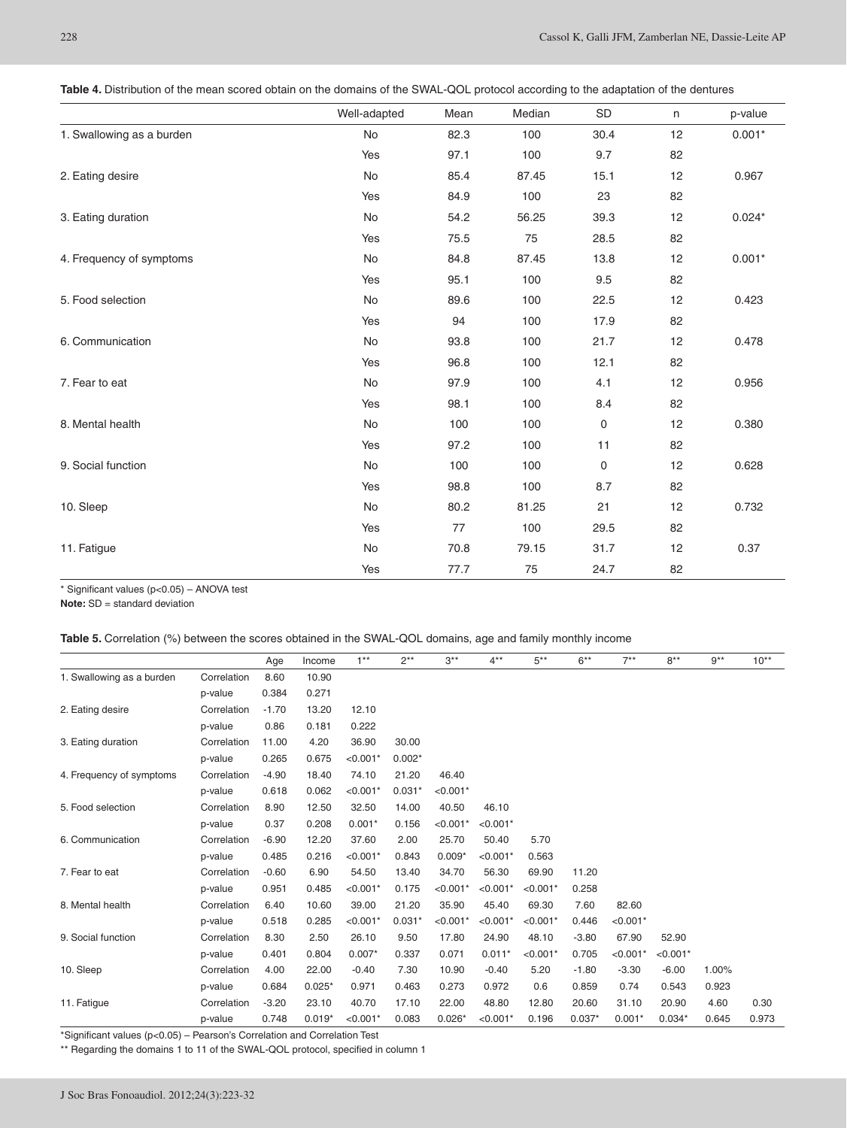| Table 4. Distribution of the mean scored obtain on the domains of the SWAL-QOL protocol according to the adaptation of the dentures |  |  |  |  |  |
|-------------------------------------------------------------------------------------------------------------------------------------|--|--|--|--|--|
|                                                                                                                                     |  |  |  |  |  |

|                           | Well-adapted | Mean | Median | <b>SD</b> | n  | p-value  |
|---------------------------|--------------|------|--------|-----------|----|----------|
| 1. Swallowing as a burden | No           | 82.3 | 100    | 30.4      | 12 | $0.001*$ |
|                           | Yes          | 97.1 | 100    | 9.7       | 82 |          |
| 2. Eating desire          | No           | 85.4 | 87.45  | 15.1      | 12 | 0.967    |
|                           | Yes          | 84.9 | 100    | 23        | 82 |          |
| 3. Eating duration        | No           | 54.2 | 56.25  | 39.3      | 12 | $0.024*$ |
|                           | Yes          | 75.5 | 75     | 28.5      | 82 |          |
| 4. Frequency of symptoms  | No           | 84.8 | 87.45  | 13.8      | 12 | $0.001*$ |
|                           | Yes          | 95.1 | 100    | 9.5       | 82 |          |
| 5. Food selection         | No           | 89.6 | 100    | 22.5      | 12 | 0.423    |
|                           | Yes          | 94   | 100    | 17.9      | 82 |          |
| 6. Communication          | No           | 93.8 | 100    | 21.7      | 12 | 0.478    |
|                           | Yes          | 96.8 | 100    | 12.1      | 82 |          |
| 7. Fear to eat            | No           | 97.9 | 100    | 4.1       | 12 | 0.956    |
|                           | Yes          | 98.1 | 100    | 8.4       | 82 |          |
| 8. Mental health          | No           | 100  | 100    | 0         | 12 | 0.380    |
|                           | Yes          | 97.2 | 100    | 11        | 82 |          |
| 9. Social function        | No           | 100  | 100    | 0         | 12 | 0.628    |
|                           | Yes          | 98.8 | 100    | 8.7       | 82 |          |
| 10. Sleep                 | No           | 80.2 | 81.25  | 21        | 12 | 0.732    |
|                           | Yes          | 77   | 100    | 29.5      | 82 |          |
| 11. Fatigue               | No           | 70.8 | 79.15  | 31.7      | 12 | 0.37     |
|                           | Yes          | 77.7 | 75     | 24.7      | 82 |          |

\* Significant values (p<0.05) – ANOVA test

**Note:** SD = standard deviation

#### **Table 5.** Correlation (%) between the scores obtained in the SWAL-QOL domains, age and family monthly income

|                           |             | Age     | Income   | $1***$     | $2**$    | $3**$      | $4**$      | $5***$     | $6***$   | $7**$      | $R^{**}$   | $9**$ | $10**$ |
|---------------------------|-------------|---------|----------|------------|----------|------------|------------|------------|----------|------------|------------|-------|--------|
| 1. Swallowing as a burden | Correlation | 8.60    | 10.90    |            |          |            |            |            |          |            |            |       |        |
|                           | p-value     | 0.384   | 0.271    |            |          |            |            |            |          |            |            |       |        |
| 2. Eating desire          | Correlation | $-1.70$ | 13.20    | 12.10      |          |            |            |            |          |            |            |       |        |
|                           | p-value     | 0.86    | 0.181    | 0.222      |          |            |            |            |          |            |            |       |        |
| 3. Eating duration        | Correlation | 11.00   | 4.20     | 36.90      | 30.00    |            |            |            |          |            |            |       |        |
|                           | p-value     | 0.265   | 0.675    | $< 0.001*$ | $0.002*$ |            |            |            |          |            |            |       |        |
| 4. Frequency of symptoms  | Correlation | $-4.90$ | 18.40    | 74.10      | 21.20    | 46.40      |            |            |          |            |            |       |        |
|                           | p-value     | 0.618   | 0.062    | $< 0.001*$ | $0.031*$ | $< 0.001*$ |            |            |          |            |            |       |        |
| 5. Food selection         | Correlation | 8.90    | 12.50    | 32.50      | 14.00    | 40.50      | 46.10      |            |          |            |            |       |        |
|                           | p-value     | 0.37    | 0.208    | $0.001*$   | 0.156    | $< 0.001*$ | $< 0.001*$ |            |          |            |            |       |        |
| 6. Communication          | Correlation | $-6.90$ | 12.20    | 37.60      | 2.00     | 25.70      | 50.40      | 5.70       |          |            |            |       |        |
|                           | p-value     | 0.485   | 0.216    | $< 0.001*$ | 0.843    | $0.009*$   | $< 0.001*$ | 0.563      |          |            |            |       |        |
| 7. Fear to eat            | Correlation | $-0.60$ | 6.90     | 54.50      | 13.40    | 34.70      | 56.30      | 69.90      | 11.20    |            |            |       |        |
|                           | p-value     | 0.951   | 0.485    | $< 0.001*$ | 0.175    | $< 0.001*$ | $< 0.001*$ | $< 0.001*$ | 0.258    |            |            |       |        |
| 8. Mental health          | Correlation | 6.40    | 10.60    | 39.00      | 21.20    | 35.90      | 45.40      | 69.30      | 7.60     | 82.60      |            |       |        |
|                           | p-value     | 0.518   | 0.285    | $< 0.001*$ | $0.031*$ | $< 0.001*$ | $< 0.001*$ | $< 0.001*$ | 0.446    | $< 0.001*$ |            |       |        |
| 9. Social function        | Correlation | 8.30    | 2.50     | 26.10      | 9.50     | 17.80      | 24.90      | 48.10      | $-3.80$  | 67.90      | 52.90      |       |        |
|                           | p-value     | 0.401   | 0.804    | $0.007*$   | 0.337    | 0.071      | $0.011*$   | $< 0.001*$ | 0.705    | $< 0.001*$ | $< 0.001*$ |       |        |
| 10. Sleep                 | Correlation | 4.00    | 22.00    | $-0.40$    | 7.30     | 10.90      | $-0.40$    | 5.20       | $-1.80$  | $-3.30$    | $-6.00$    | 1.00% |        |
|                           | p-value     | 0.684   | $0.025*$ | 0.971      | 0.463    | 0.273      | 0.972      | 0.6        | 0.859    | 0.74       | 0.543      | 0.923 |        |
| 11. Fatigue               | Correlation | $-3.20$ | 23.10    | 40.70      | 17.10    | 22.00      | 48.80      | 12.80      | 20.60    | 31.10      | 20.90      | 4.60  | 0.30   |
|                           | p-value     | 0.748   | $0.019*$ | $< 0.001*$ | 0.083    | $0.026*$   | $< 0.001*$ | 0.196      | $0.037*$ | $0.001*$   | $0.034*$   | 0.645 | 0.973  |

\*Significant values (p<0.05) – Pearson's Correlation and Correlation Test

\*\* Regarding the domains 1 to 11 of the SWAL-QOL protocol, specified in column 1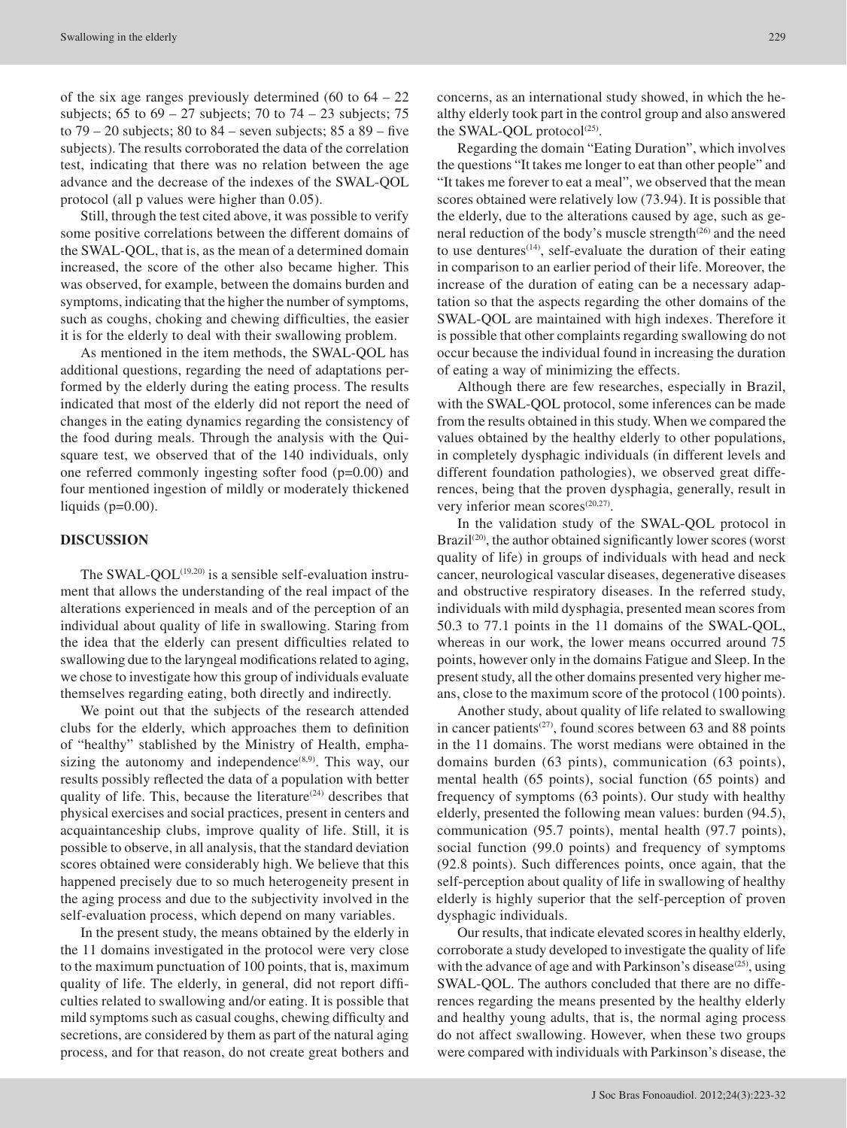of the six age ranges previously determined (60 to  $64 - 22$ ) subjects; 65 to  $69 - 27$  subjects; 70 to  $74 - 23$  subjects; 75 to  $79 - 20$  subjects; 80 to  $84 -$  seven subjects; 85 a  $89 -$  five subjects). The results corroborated the data of the correlation test, indicating that there was no relation between the age advance and the decrease of the indexes of the SWAL-QOL protocol (all p values were higher than 0.05).

Still, through the test cited above, it was possible to verify some positive correlations between the different domains of the SWAL-QOL, that is, as the mean of a determined domain increased, the score of the other also became higher. This was observed, for example, between the domains burden and symptoms, indicating that the higher the number of symptoms, such as coughs, choking and chewing difficulties, the easier it is for the elderly to deal with their swallowing problem.

As mentioned in the item methods, the SWAL-QOL has additional questions, regarding the need of adaptations performed by the elderly during the eating process. The results indicated that most of the elderly did not report the need of changes in the eating dynamics regarding the consistency of the food during meals. Through the analysis with the Quisquare test, we observed that of the 140 individuals, only one referred commonly ingesting softer food (p=0.00) and four mentioned ingestion of mildly or moderately thickened liquids  $(p=0.00)$ .

#### **DISCUSSION**

The SWAL-QOL $^{(19,20)}$  is a sensible self-evaluation instrument that allows the understanding of the real impact of the alterations experienced in meals and of the perception of an individual about quality of life in swallowing. Staring from the idea that the elderly can present difficulties related to swallowing due to the laryngeal modifications related to aging, we chose to investigate how this group of individuals evaluate themselves regarding eating, both directly and indirectly.

We point out that the subjects of the research attended clubs for the elderly, which approaches them to definition of "healthy" stablished by the Ministry of Health, emphasizing the autonomy and independence<sup> $(8,9)$ </sup>. This way, our results possibly reflected the data of a population with better quality of life. This, because the literature<sup>(24)</sup> describes that physical exercises and social practices, present in centers and acquaintanceship clubs, improve quality of life. Still, it is possible to observe, in all analysis, that the standard deviation scores obtained were considerably high. We believe that this happened precisely due to so much heterogeneity present in the aging process and due to the subjectivity involved in the self-evaluation process, which depend on many variables.

In the present study, the means obtained by the elderly in the 11 domains investigated in the protocol were very close to the maximum punctuation of 100 points, that is, maximum quality of life. The elderly, in general, did not report difficulties related to swallowing and/or eating. It is possible that mild symptoms such as casual coughs, chewing difficulty and secretions, are considered by them as part of the natural aging process, and for that reason, do not create great bothers and concerns, as an international study showed, in which the healthy elderly took part in the control group and also answered the SWAL-OOL protocol $(25)$ .

Regarding the domain "Eating Duration", which involves the questions "It takes me longer to eat than other people" and "It takes me forever to eat a meal", we observed that the mean scores obtained were relatively low (73.94). It is possible that the elderly, due to the alterations caused by age, such as general reduction of the body's muscle strength<sup>(26)</sup> and the need to use dentures<sup> $(14)$ </sup>, self-evaluate the duration of their eating in comparison to an earlier period of their life. Moreover, the increase of the duration of eating can be a necessary adaptation so that the aspects regarding the other domains of the SWAL-QOL are maintained with high indexes. Therefore it is possible that other complaints regarding swallowing do not occur because the individual found in increasing the duration of eating a way of minimizing the effects.

Although there are few researches, especially in Brazil, with the SWAL-QOL protocol, some inferences can be made from the results obtained in this study. When we compared the values obtained by the healthy elderly to other populations, in completely dysphagic individuals (in different levels and different foundation pathologies), we observed great differences, being that the proven dysphagia, generally, result in very inferior mean scores<sup>(20,27)</sup>.

In the validation study of the SWAL-QOL protocol in Brazil<sup>(20)</sup>, the author obtained significantly lower scores (worst quality of life) in groups of individuals with head and neck cancer, neurological vascular diseases, degenerative diseases and obstructive respiratory diseases. In the referred study, individuals with mild dysphagia, presented mean scores from 50.3 to 77.1 points in the 11 domains of the SWAL-QOL, whereas in our work, the lower means occurred around 75 points, however only in the domains Fatigue and Sleep. In the present study, all the other domains presented very higher means, close to the maximum score of the protocol (100 points).

Another study, about quality of life related to swallowing in cancer patients<sup> $(27)$ </sup>, found scores between 63 and 88 points in the 11 domains. The worst medians were obtained in the domains burden (63 pints), communication (63 points), mental health (65 points), social function (65 points) and frequency of symptoms (63 points). Our study with healthy elderly, presented the following mean values: burden (94.5), communication (95.7 points), mental health (97.7 points), social function (99.0 points) and frequency of symptoms (92.8 points). Such differences points, once again, that the self-perception about quality of life in swallowing of healthy elderly is highly superior that the self-perception of proven dysphagic individuals.

Our results, that indicate elevated scores in healthy elderly, corroborate a study developed to investigate the quality of life with the advance of age and with Parkinson's disease<sup>(25)</sup>, using SWAL-QOL. The authors concluded that there are no differences regarding the means presented by the healthy elderly and healthy young adults, that is, the normal aging process do not affect swallowing. However, when these two groups were compared with individuals with Parkinson's disease, the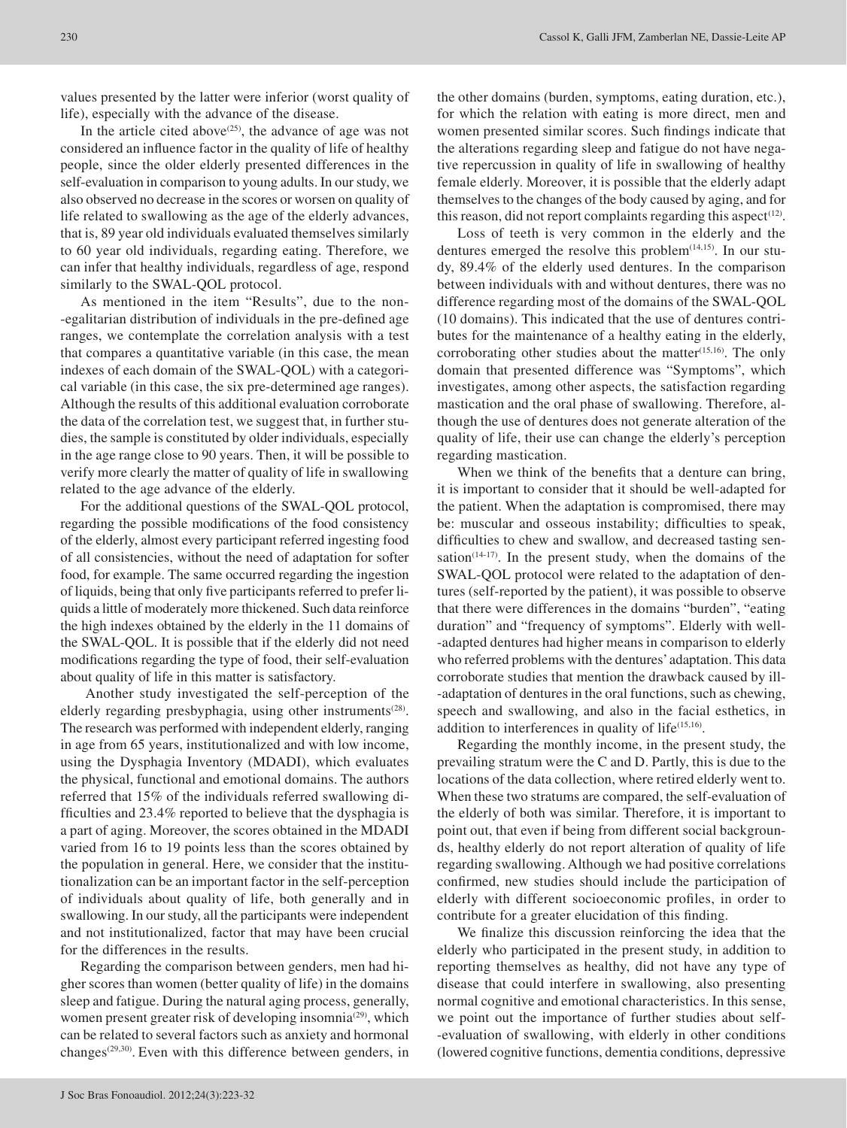values presented by the latter were inferior (worst quality of life), especially with the advance of the disease.

In the article cited above<sup> $(25)$ </sup>, the advance of age was not considered an influence factor in the quality of life of healthy people, since the older elderly presented differences in the self-evaluation in comparison to young adults. In our study, we also observed no decrease in the scores or worsen on quality of life related to swallowing as the age of the elderly advances, that is, 89 year old individuals evaluated themselves similarly to 60 year old individuals, regarding eating. Therefore, we can infer that healthy individuals, regardless of age, respond similarly to the SWAL-QOL protocol.

As mentioned in the item "Results", due to the non- -egalitarian distribution of individuals in the pre-defined age ranges, we contemplate the correlation analysis with a test that compares a quantitative variable (in this case, the mean indexes of each domain of the SWAL-QOL) with a categorical variable (in this case, the six pre-determined age ranges). Although the results of this additional evaluation corroborate the data of the correlation test, we suggest that, in further studies, the sample is constituted by older individuals, especially in the age range close to 90 years. Then, it will be possible to verify more clearly the matter of quality of life in swallowing related to the age advance of the elderly.

For the additional questions of the SWAL-QOL protocol, regarding the possible modifications of the food consistency of the elderly, almost every participant referred ingesting food of all consistencies, without the need of adaptation for softer food, for example. The same occurred regarding the ingestion of liquids, being that only five participants referred to prefer liquids a little of moderately more thickened. Such data reinforce the high indexes obtained by the elderly in the 11 domains of the SWAL-QOL. It is possible that if the elderly did not need modifications regarding the type of food, their self-evaluation about quality of life in this matter is satisfactory.

 Another study investigated the self-perception of the elderly regarding presbyphagia, using other instruments<sup>(28)</sup>. The research was performed with independent elderly, ranging in age from 65 years, institutionalized and with low income, using the Dysphagia Inventory (MDADI), which evaluates the physical, functional and emotional domains. The authors referred that 15% of the individuals referred swallowing difficulties and 23.4% reported to believe that the dysphagia is a part of aging. Moreover, the scores obtained in the MDADI varied from 16 to 19 points less than the scores obtained by the population in general. Here, we consider that the institutionalization can be an important factor in the self-perception of individuals about quality of life, both generally and in swallowing. In our study, all the participants were independent and not institutionalized, factor that may have been crucial for the differences in the results.

Regarding the comparison between genders, men had higher scores than women (better quality of life) in the domains sleep and fatigue. During the natural aging process, generally, women present greater risk of developing insomnia<sup>(29)</sup>, which can be related to several factors such as anxiety and hormonal changes<sup> $(29,30)$ </sup>. Even with this difference between genders, in the other domains (burden, symptoms, eating duration, etc.), for which the relation with eating is more direct, men and women presented similar scores. Such findings indicate that the alterations regarding sleep and fatigue do not have negative repercussion in quality of life in swallowing of healthy female elderly. Moreover, it is possible that the elderly adapt themselves to the changes of the body caused by aging, and for this reason, did not report complaints regarding this aspect<sup> $(12)$ </sup>.

Loss of teeth is very common in the elderly and the dentures emerged the resolve this problem $(14,15)$ . In our study, 89.4% of the elderly used dentures. In the comparison between individuals with and without dentures, there was no difference regarding most of the domains of the SWAL-QOL (10 domains). This indicated that the use of dentures contributes for the maintenance of a healthy eating in the elderly, corroborating other studies about the matter $(15,16)$ . The only domain that presented difference was "Symptoms", which investigates, among other aspects, the satisfaction regarding mastication and the oral phase of swallowing. Therefore, although the use of dentures does not generate alteration of the quality of life, their use can change the elderly's perception regarding mastication.

When we think of the benefits that a denture can bring, it is important to consider that it should be well-adapted for the patient. When the adaptation is compromised, there may be: muscular and osseous instability; difficulties to speak, difficulties to chew and swallow, and decreased tasting sensation<sup> $(14-17)$ </sup>. In the present study, when the domains of the SWAL-QOL protocol were related to the adaptation of dentures (self-reported by the patient), it was possible to observe that there were differences in the domains "burden", "eating duration" and "frequency of symptoms". Elderly with well- -adapted dentures had higher means in comparison to elderly who referred problems with the dentures' adaptation. This data corroborate studies that mention the drawback caused by ill- -adaptation of dentures in the oral functions, such as chewing, speech and swallowing, and also in the facial esthetics, in addition to interferences in quality of life(15,16).

Regarding the monthly income, in the present study, the prevailing stratum were the C and D. Partly, this is due to the locations of the data collection, where retired elderly went to. When these two stratums are compared, the self-evaluation of the elderly of both was similar. Therefore, it is important to point out, that even if being from different social backgrounds, healthy elderly do not report alteration of quality of life regarding swallowing. Although we had positive correlations confirmed, new studies should include the participation of elderly with different socioeconomic profiles, in order to contribute for a greater elucidation of this finding.

We finalize this discussion reinforcing the idea that the elderly who participated in the present study, in addition to reporting themselves as healthy, did not have any type of disease that could interfere in swallowing, also presenting normal cognitive and emotional characteristics. In this sense, we point out the importance of further studies about self- -evaluation of swallowing, with elderly in other conditions (lowered cognitive functions, dementia conditions, depressive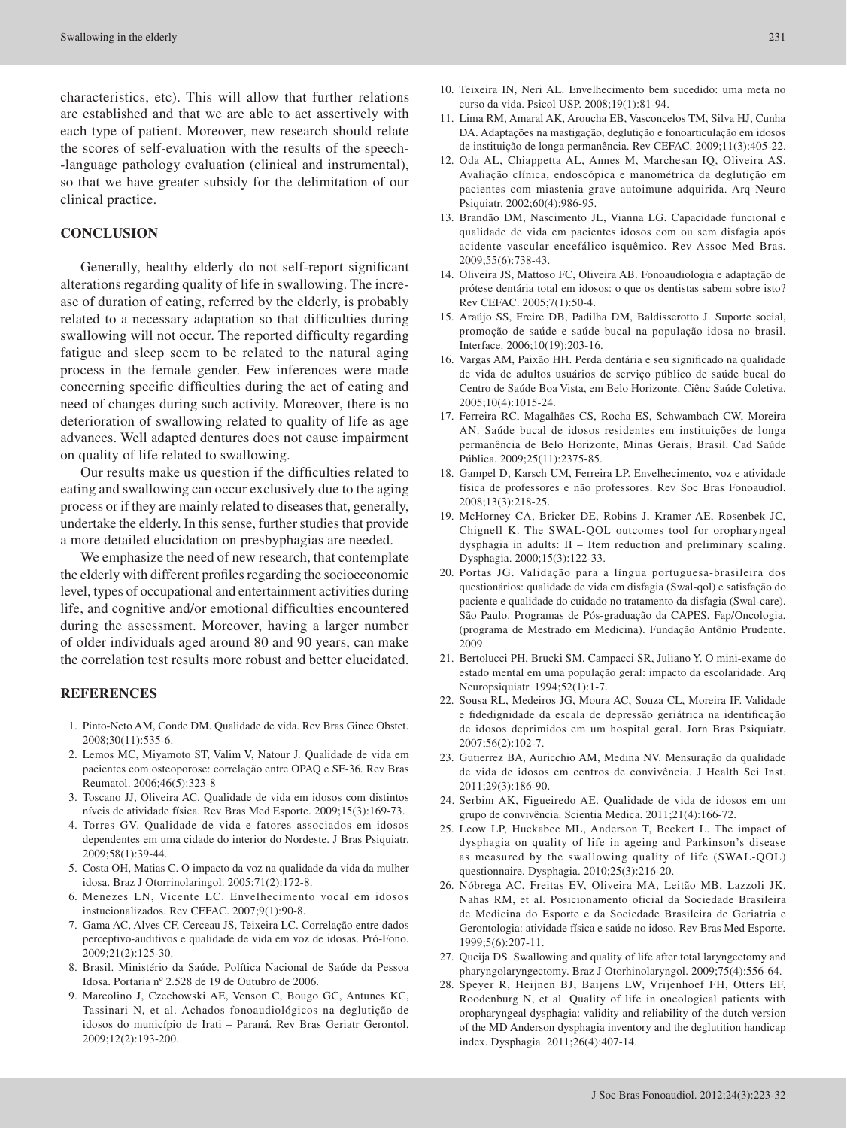characteristics, etc). This will allow that further relations are established and that we are able to act assertively with each type of patient. Moreover, new research should relate the scores of self-evaluation with the results of the speech- -language pathology evaluation (clinical and instrumental), so that we have greater subsidy for the delimitation of our clinical practice.

#### **CONCLUSION**

Generally, healthy elderly do not self-report significant alterations regarding quality of life in swallowing. The increase of duration of eating, referred by the elderly, is probably related to a necessary adaptation so that difficulties during swallowing will not occur. The reported difficulty regarding fatigue and sleep seem to be related to the natural aging process in the female gender. Few inferences were made concerning specific difficulties during the act of eating and need of changes during such activity. Moreover, there is no deterioration of swallowing related to quality of life as age advances. Well adapted dentures does not cause impairment on quality of life related to swallowing.

Our results make us question if the difficulties related to eating and swallowing can occur exclusively due to the aging process or if they are mainly related to diseases that, generally, undertake the elderly. In this sense, further studies that provide a more detailed elucidation on presbyphagias are needed.

We emphasize the need of new research, that contemplate the elderly with different profiles regarding the socioeconomic level, types of occupational and entertainment activities during life, and cognitive and/or emotional difficulties encountered during the assessment. Moreover, having a larger number of older individuals aged around 80 and 90 years, can make the correlation test results more robust and better elucidated.

#### **REFERENCES**

- 1. Pinto-Neto AM, Conde DM. Qualidade de vida. Rev Bras Ginec Obstet. 2008;30(11):535-6.
- 2. Lemos MC, Miyamoto ST, Valim V, Natour J*.* Qualidade de vida em pacientes com osteoporose: correlação entre OPAQ e SF-36*.* Rev Bras Reumatol. 2006;46(5):323-8
- 3. Toscano JJ, Oliveira AC. Qualidade de vida em idosos com distintos níveis de atividade física. Rev Bras Med Esporte. 2009;15(3):169-73.
- 4. Torres GV. Qualidade de vida e fatores associados em idosos dependentes em uma cidade do interior do Nordeste. J Bras Psiquiatr. 2009;58(1):39-44.
- 5. Costa OH, Matias C. O impacto da voz na qualidade da vida da mulher idosa. Braz J Otorrinolaringol. 2005;71(2):172-8.
- 6. Menezes LN, Vicente LC. Envelhecimento vocal em idosos instucionalizados. Rev CEFAC. 2007;9(1):90-8.
- 7. Gama AC, Alves CF, Cerceau JS, Teixeira LC. Correlação entre dados perceptivo-auditivos e qualidade de vida em voz de idosas. Pró-Fono. 2009;21(2):125-30.
- 8. Brasil. Ministério da Saúde. Política Nacional de Saúde da Pessoa Idosa. Portaria nº 2.528 de 19 de Outubro de 2006.
- 9. Marcolino J, Czechowski AE, Venson C, Bougo GC, Antunes KC, Tassinari N, et al. Achados fonoaudiológicos na deglutição de idosos do município de Irati – Paraná. Rev Bras Geriatr Gerontol. 2009;12(2):193-200.
- 10. Teixeira IN, Neri AL. Envelhecimento bem sucedido: uma meta no curso da vida. Psicol USP. 2008;19(1):81-94.
- 11. Lima RM, Amaral AK, Aroucha EB, Vasconcelos TM, Silva HJ, Cunha DA. Adaptações na mastigação, deglutição e fonoarticulação em idosos de instituição de longa permanência. Rev CEFAC. 2009;11(3):405-22.
- 12. Oda AL, Chiappetta AL, Annes M, Marchesan IQ, Oliveira AS. Avaliação clínica, endoscópica e manométrica da deglutição em pacientes com miastenia grave autoimune adquirida. Arq Neuro Psiquiatr. 2002;60(4):986-95.
- 13. Brandão DM, Nascimento JL, Vianna LG. Capacidade funcional e qualidade de vida em pacientes idosos com ou sem disfagia após acidente vascular encefálico isquêmico. Rev Assoc Med Bras. 2009;55(6):738-43.
- 14. Oliveira JS, Mattoso FC, Oliveira AB. Fonoaudiologia e adaptação de prótese dentária total em idosos: o que os dentistas sabem sobre isto? Rev CEFAC. 2005;7(1):50-4.
- 15. Araújo SS, Freire DB, Padilha DM, Baldisserotto J. Suporte social, promoção de saúde e saúde bucal na população idosa no brasil. Interface. 2006;10(19):203-16.
- 16. Vargas AM, Paixão HH. Perda dentária e seu significado na qualidade de vida de adultos usuários de serviço público de saúde bucal do Centro de Saúde Boa Vista, em Belo Horizonte. Ciênc Saúde Coletiva. 2005;10(4):1015-24.
- 17. Ferreira RC, Magalhães CS, Rocha ES, Schwambach CW, Moreira AN. Saúde bucal de idosos residentes em instituições de longa permanência de Belo Horizonte, Minas Gerais, Brasil. Cad Saúde Pública. 2009;25(11):2375-85.
- 18. Gampel D, Karsch UM, Ferreira LP. Envelhecimento, voz e atividade física de professores e não professores. Rev Soc Bras Fonoaudiol. 2008;13(3):218-25.
- 19. McHorney CA, Bricker DE, Robins J, Kramer AE, Rosenbek JC, Chignell K. The SWAL-QOL outcomes tool for oropharyngeal dysphagia in adults: II – Item reduction and preliminary scaling. Dysphagia. 2000;15(3):122-33.
- 20. Portas JG. Validação para a língua portuguesa-brasileira dos questionários: qualidade de vida em disfagia (Swal-qol) e satisfação do paciente e qualidade do cuidado no tratamento da disfagia (Swal-care). São Paulo. Programas de Pós-graduação da CAPES, Fap/Oncologia, (programa de Mestrado em Medicina). Fundação Antônio Prudente. 2009.
- 21. Bertolucci PH, Brucki SM, Campacci SR, Juliano Y. O mini-exame do estado mental em uma população geral: impacto da escolaridade. Arq Neuropsiquiatr. 1994;52(1):1-7.
- 22. Sousa RL, Medeiros JG, Moura AC, Souza CL, Moreira IF. Validade e fidedignidade da escala de depressão geriátrica na identificação de idosos deprimidos em um hospital geral. Jorn Bras Psiquiatr. 2007;56(2):102-7.
- 23. Gutierrez BA, Auricchio AM, Medina NV. Mensuração da qualidade de vida de idosos em centros de convivência. J Health Sci Inst. 2011;29(3):186-90.
- 24. Serbim AK, Figueiredo AE. Qualidade de vida de idosos em um grupo de convivência. Scientia Medica. 2011;21(4):166-72.
- 25. Leow LP, Huckabee ML, Anderson T, Beckert L. The impact of dysphagia on quality of life in ageing and Parkinson's disease as measured by the swallowing quality of life (SWAL-QOL) questionnaire. Dysphagia. 2010;25(3):216-20.
- 26. Nóbrega AC, Freitas EV, Oliveira MA, Leitão MB, Lazzoli JK, Nahas RM, et al. Posicionamento oficial da Sociedade Brasileira de Medicina do Esporte e da Sociedade Brasileira de Geriatria e Gerontologia: atividade física e saúde no idoso. Rev Bras Med Esporte. 1999;5(6):207-11.
- 27. Queija DS. Swallowing and quality of life after total laryngectomy and pharyngolaryngectomy. Braz J Otorhinolaryngol. 2009;75(4):556-64.
- 28. Speyer R, Heijnen BJ, Baijens LW, Vrijenhoef FH, Otters EF, Roodenburg N, et al. Quality of life in oncological patients with oropharyngeal dysphagia: validity and reliability of the dutch version of the MD Anderson dysphagia inventory and the deglutition handicap index. Dysphagia. 2011;26(4):407-14.